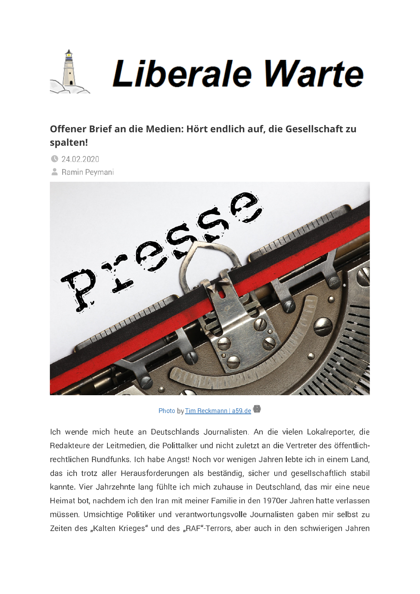

## Offener Brief an die Medien: Hört endlich auf, die Gesellschaft zu spalten!

- **324.02.2020**
- **A** Ramin Peymani



Photo by Tim Reckmann | a59.de

Ich wende mich heute an Deutschlands Journalisten. An die vielen Lokalreporter, die Redakteure der Leitmedien, die Polittalker und nicht zuletzt an die Vertreter des öffentlichrechtlichen Rundfunks. Ich habe Angst! Noch vor wenigen Jahren lebte ich in einem Land, das ich trotz aller Herausforderungen als beständig, sicher und gesellschaftlich stabil kannte. Vier Jahrzehnte lang fühlte ich mich zuhause in Deutschland, das mir eine neue Heimat bot, nachdem ich den Iran mit meiner Familie in den 1970er Jahren hatte verlassen müssen. Umsichtige Politiker und verantwortungsvolle Journalisten gaben mir selbst zu Zeiten des "Kalten Krieges" und des "RAF"-Terrors, aber auch in den schwierigen Jahren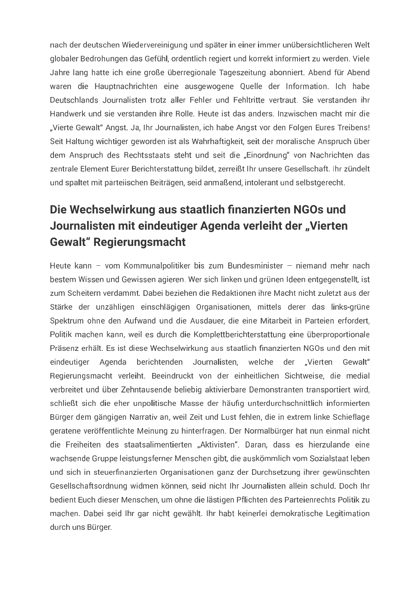nach der deutschen Wiedervereinigung und später in einer immer unübersichtlicheren Welt globaler Bedrohungen das Gefühl, ordentlich regiert und korrekt informiert zu werden. Viele Jahre lang hatte ich eine große überregionale Tageszeitung abonniert. Abend für Abend waren die Hauptnachrichten eine ausgewogene Quelle der Information. Ich habe Deutschlands Journalisten trotz aller Fehler und Fehltritte vertraut. Sie verstanden ihr Handwerk und sie verstanden ihre Rolle. Heute ist das anders, Inzwischen macht mir die "Vierte Gewalt" Angst, Ja, Ihr Journalisten, ich habe Angst vor den Folgen Eures Treibens! Seit Haltung wichtiger geworden ist als Wahrhaftigkeit, seit der moralische Anspruch über dem Anspruch des Rechtsstaats steht und seit die "Einordnung" von Nachrichten das zentrale Element Eurer Berichterstattung bildet, zerreißt Ihr unsere Gesellschaft. Ihr zündelt und spaltet mit parteiischen Beiträgen, seid anmaßend, intolerant und selbstgerecht.

## Die Wechselwirkung aus staatlich finanzierten NGOs und Journalisten mit eindeutiger Agenda verleiht der "Vierten **Gewalt**" Regierungsmacht

Heute kann - vom Kommunalpolitiker bis zum Bundesminister - niemand mehr nach bestem Wissen und Gewissen agieren. Wer sich linken und grünen Ideen entgegenstellt, ist zum Scheitern verdammt. Dabei beziehen die Redaktionen ihre Macht nicht zuletzt aus der Stärke der unzähligen einschlägigen Organisationen, mittels derer das links-grüne Spektrum ohne den Aufwand und die Ausdauer, die eine Mitarbeit in Parteien erfordert, Politik machen kann, weil es durch die Komplettberichterstattung eine überproportionale Präsenz erhält. Es ist diese Wechselwirkung aus staatlich finanzierten NGOs und den mit eindeutiger Agenda berichtenden Journalisten, welche der "Vierten Gewalt" Regierungsmacht verleiht. Beeindruckt von der einheitlichen Sichtweise, die medial verbreitet und über Zehntausende beliebig aktivierbare Demonstranten transportiert wird, schließt sich die eher unpolitische Masse der häufig unterdurchschnittlich informierten Bürger dem gängigen Narrativ an, weil Zeit und Lust fehlen, die in extrem linke Schieflage geratene veröffentlichte Meinung zu hinterfragen. Der Normalbürger hat nun einmal nicht die Freiheiten des staatsalimentierten "Aktivisten". Daran, dass es hierzulande eine wachsende Gruppe leistungsferner Menschen gibt, die auskömmlich vom Sozialstaat leben und sich in steuerfinanzierten Organisationen ganz der Durchsetzung ihrer gewünschten Gesellschaftsordnung widmen können, seid nicht Ihr Journalisten allein schuld. Doch Ihr bedient Euch dieser Menschen, um ohne die lästigen Pflichten des Parteienrechts Politik zu machen. Dabei seid Ihr gar nicht gewählt. Ihr habt keinerlei demokratische Legitimation durch uns Bürger.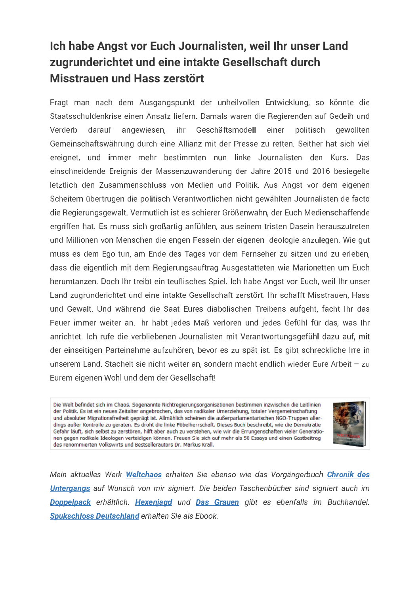## Ich habe Angst vor Euch Journalisten, weil Ihr unser Land zugrunderichtet und eine intakte Gesellschaft durch Misstrauen und Hass zerstört

Fragt man nach dem Ausgangspunkt der unheilvollen Entwicklung, so könnte die Staatsschuldenkrise einen Ansatz liefern. Damals waren die Regierenden auf Gedeih und Verderb darauf angewiesen, ihr Geschäftsmodell einer politisch gewollten Gemeinschaftswährung durch eine Allianz mit der Presse zu retten. Seither hat sich viel ereignet, und immer mehr bestimmten nun linke Journalisten den Kurs. Das einschneidende Ereignis der Massenzuwanderung der Jahre 2015 und 2016 besiegelte letztlich den Zusammenschluss von Medien und Politik. Aus Angst vor dem eigenen Scheitern übertrugen die politisch Verantwortlichen nicht gewählten Journalisten de facto die Regierungsgewalt. Vermutlich ist es schierer Größenwahn, der Euch Medienschaffende ergriffen hat. Es muss sich großartig anfühlen, aus seinem tristen Dasein herauszutreten und Millionen von Menschen die engen Fesseln der eigenen Ideologie anzulegen. Wie gut muss es dem Ego tun, am Ende des Tages vor dem Fernseher zu sitzen und zu erleben, dass die eigentlich mit dem Regierungsauftrag Ausgestatteten wie Marionetten um Euch herumtanzen. Doch Ihr treibt ein teuflisches Spiel. Ich habe Angst vor Euch, weil Ihr unser Land zugrunderichtet und eine intakte Gesellschaft zerstört. Ihr schafft Misstrauen, Hass und Gewalt. Und während die Saat Eures diabolischen Treibens aufgeht, facht Ihr das Feuer immer weiter an. Ihr habt jedes Maß verloren und jedes Gefühl für das, was Ihr anrichtet. Ich rufe die verbliebenen Journalisten mit Verantwortungsgefühl dazu auf, mit der einseitigen Parteinahme aufzuhören, bevor es zu spät ist. Es gibt schreckliche Irre in unserem Land. Stachelt sie nicht weiter an, sondern macht endlich wieder Eure Arbeit  $-$  zu Eurem eigenen Wohl und dem der Gesellschaft!

Die Welt befindet sich im Chaos. Sogenannte Nichtregierungsorganisationen bestimmen inzwischen die Leitlinien der Politik. Es ist ein neues Zeitalter angebrochen, das von radikaler Umerziehung, totaler Vergemeinschaftung und absoluter Migrationsfreiheit geprägt ist. Allmählich scheinen die außerparlamentarischen NGO-Truppen allerdings außer Kontrolle zu geraten. Es droht die linke Pöbelherrschaft. Dieses Buch beschreibt, wie die Demokratie Gefahr läuft, sich selbst zu zerstören, hilft aber auch zu verstehen, wie wir die Errungenschaften vieler Generationen gegen radikale Ideologen verteidigen können. Freuen Sie sich auf mehr als 50 Essays und einen Gastbeitrag des renommierten Volkswirts und Bestsellerautors Dr. Markus Krall.



Mein aktuelles Werk Weltchaos erhalten Sie ebenso wie das Vorgängerbuch Chronik des Untergangs auf Wunsch von mir signiert. Die beiden Taschenbücher sind signiert auch im Doppelpack erhältlich. Hexenjagd und Das Grauen gibt es ebenfalls im Buchhandel. Spukschloss Deutschland erhalten Sie als Ebook.